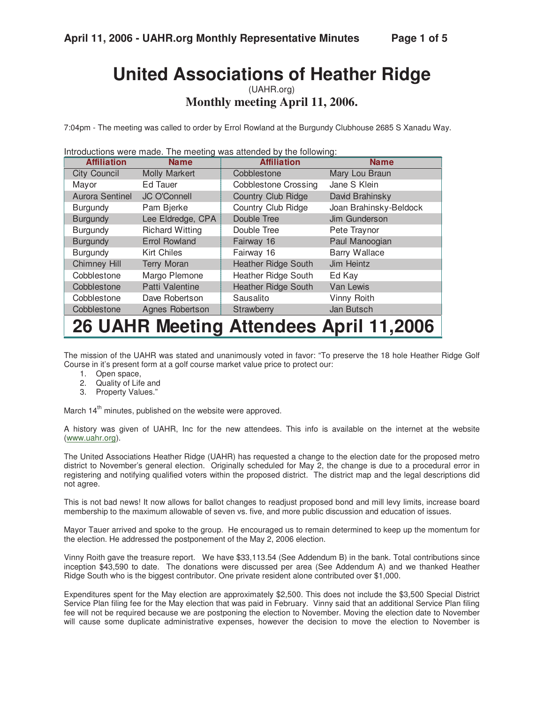# **United Associations of Heather Ridge**

(UAHR.org) **Monthly meeting April 11, 2006.** 

7:04pm - The meeting was called to order by Errol Rowland at the Burgundy Clubhouse 2685 S Xanadu Way.

Introductions were made. The meeting was attended by the following:

| <b>Affiliation</b>  | <b>Name</b>            | <b>Affiliation</b>          | <b>Name</b>            |
|---------------------|------------------------|-----------------------------|------------------------|
| <b>City Council</b> | <b>Molly Markert</b>   | Cobblestone                 | Mary Lou Braun         |
| Mayor               | Ed Tauer               | <b>Cobblestone Crossing</b> | Jane S Klein           |
| Aurora Sentinel     | <b>JC O'Connell</b>    | <b>Country Club Ridge</b>   | David Brahinsky        |
| <b>Burgundy</b>     | Pam Bjerke             | Country Club Ridge          | Joan Brahinsky-Beldock |
| <b>Burgundy</b>     | Lee Eldredge, CPA      | Double Tree                 | Jim Gunderson          |
| <b>Burgundy</b>     | <b>Richard Witting</b> | Double Tree                 | Pete Traynor           |
| <b>Burgundy</b>     | <b>Errol Rowland</b>   | Fairway 16                  | Paul Manoogian         |
| Burgundy            | Kirt Chiles            | Fairway 16                  | <b>Barry Wallace</b>   |
| Chimney Hill        | <b>Terry Moran</b>     | <b>Heather Ridge South</b>  | Jim Heintz             |
| Cobblestone         | Margo Plemone          | Heather Ridge South         | Ed Kay                 |
| Cobblestone         | Patti Valentine        | <b>Heather Ridge South</b>  | Van Lewis              |
| Cobblestone         | Dave Robertson         | Sausalito                   | Vinny Roith            |
| Cobblestone         | Agnes Robertson        | Strawberry                  | Jan Butsch             |
|                     | M A A Line .           |                             |                        |

## **26 UAHR Meeting Attendees April 11,2006**

The mission of the UAHR was stated and unanimously voted in favor: "To preserve the 18 hole Heather Ridge Golf Course in it's present form at a golf course market value price to protect our:

- 1. Open space,
- 2. Quality of Life and
- 3. Property Values."

March  $14<sup>th</sup>$  minutes, published on the website were approved.

A history was given of UAHR, Inc for the new attendees. This info is available on the internet at the website (www.uahr.org).

The United Associations Heather Ridge (UAHR) has requested a change to the election date for the proposed metro district to November's general election. Originally scheduled for May 2, the change is due to a procedural error in registering and notifying qualified voters within the proposed district. The district map and the legal descriptions did not agree.

This is not bad news! It now allows for ballot changes to readjust proposed bond and mill levy limits, increase board membership to the maximum allowable of seven vs. five, and more public discussion and education of issues.

Mayor Tauer arrived and spoke to the group. He encouraged us to remain determined to keep up the momentum for the election. He addressed the postponement of the May 2, 2006 election.

Vinny Roith gave the treasure report. We have \$33,113.54 (See Addendum B) in the bank. Total contributions since inception \$43,590 to date. The donations were discussed per area (See Addendum A) and we thanked Heather Ridge South who is the biggest contributor. One private resident alone contributed over \$1,000.

Expenditures spent for the May election are approximately \$2,500. This does not include the \$3,500 Special District Service Plan filing fee for the May election that was paid in February. Vinny said that an additional Service Plan filing fee will not be required because we are postponing the election to November. Moving the election date to November will cause some duplicate administrative expenses, however the decision to move the election to November is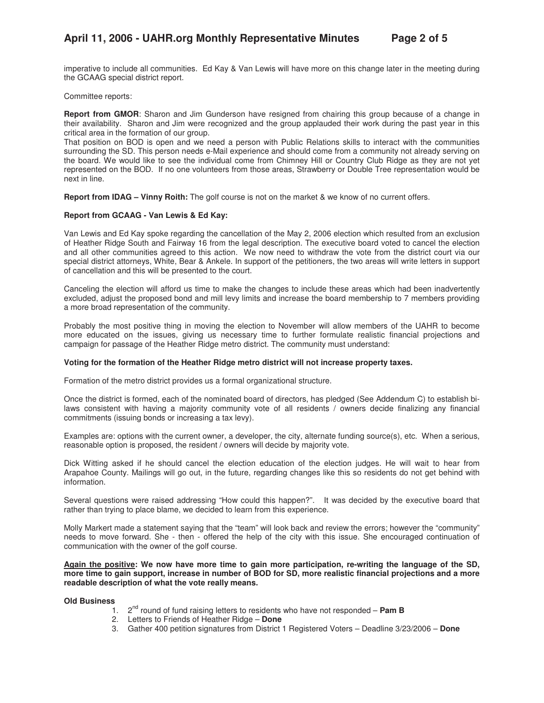imperative to include all communities. Ed Kay & Van Lewis will have more on this change later in the meeting during the GCAAG special district report.

Committee reports:

**Report from GMOR**: Sharon and Jim Gunderson have resigned from chairing this group because of a change in their availability. Sharon and Jim were recognized and the group applauded their work during the past year in this critical area in the formation of our group.

That position on BOD is open and we need a person with Public Relations skills to interact with the communities surrounding the SD. This person needs e-Mail experience and should come from a community not already serving on the board. We would like to see the individual come from Chimney Hill or Country Club Ridge as they are not yet represented on the BOD. If no one volunteers from those areas, Strawberry or Double Tree representation would be next in line.

**Report from IDAG – Vinny Roith:** The golf course is not on the market & we know of no current offers.

### **Report from GCAAG - Van Lewis & Ed Kay:**

Van Lewis and Ed Kay spoke regarding the cancellation of the May 2, 2006 election which resulted from an exclusion of Heather Ridge South and Fairway 16 from the legal description. The executive board voted to cancel the election and all other communities agreed to this action. We now need to withdraw the vote from the district court via our special district attorneys, White, Bear & Ankele. In support of the petitioners, the two areas will write letters in support of cancellation and this will be presented to the court.

Canceling the election will afford us time to make the changes to include these areas which had been inadvertently excluded, adjust the proposed bond and mill levy limits and increase the board membership to 7 members providing a more broad representation of the community.

Probably the most positive thing in moving the election to November will allow members of the UAHR to become more educated on the issues, giving us necessary time to further formulate realistic financial projections and campaign for passage of the Heather Ridge metro district. The community must understand:

### **Voting for the formation of the Heather Ridge metro district will not increase property taxes.**

Formation of the metro district provides us a formal organizational structure.

Once the district is formed, each of the nominated board of directors, has pledged (See Addendum C) to establish bilaws consistent with having a majority community vote of all residents / owners decide finalizing any financial commitments (issuing bonds or increasing a tax levy).

Examples are: options with the current owner, a developer, the city, alternate funding source(s), etc. When a serious, reasonable option is proposed, the resident / owners will decide by majority vote.

Dick Witting asked if he should cancel the election education of the election judges. He will wait to hear from Arapahoe County. Mailings will go out, in the future, regarding changes like this so residents do not get behind with information.

Several questions were raised addressing "How could this happen?". It was decided by the executive board that rather than trying to place blame, we decided to learn from this experience.

Molly Markert made a statement saying that the "team" will look back and review the errors; however the "community" needs to move forward. She - then - offered the help of the city with this issue. She encouraged continuation of communication with the owner of the golf course.

**Again the positive: We now have more time to gain more participation, re-writing the language of the SD, more time to gain support, increase in number of BOD for SD, more realistic financial projections and a more readable description of what the vote really means.**

**Old Business** 

- 1. 2nd round of fund raising letters to residents who have not responded **Pam B**
- 2. Letters to Friends of Heather Ridge **Done**
- 3. Gather 400 petition signatures from District 1 Registered Voters Deadline 3/23/2006 **Done**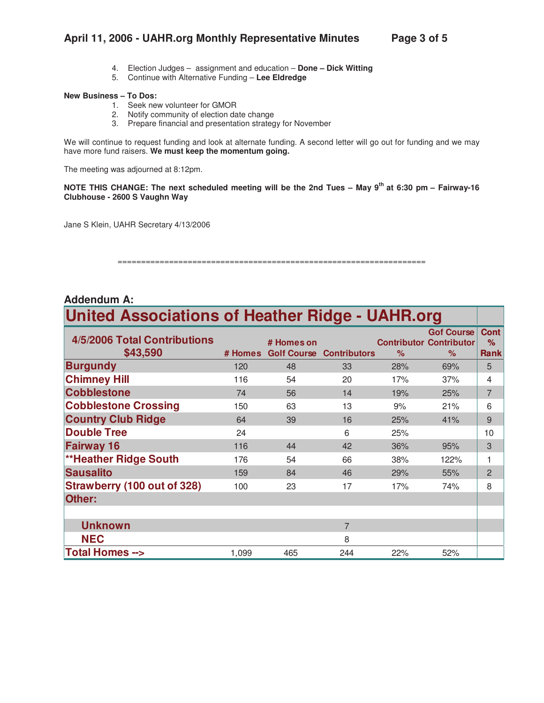## **April 11, 2006 - UAHR.org Monthly Representative Minutes Page 3 of 5**

- 4. Election Judges assignment and education **Done Dick Witting**
- 5. Continue with Alternative Funding **Lee Eldredge**

#### **New Business – To Dos:**

- 1. Seek new volunteer for GMOR
- 2. Notify community of election date change
- 3. Prepare financial and presentation strategy for November

We will continue to request funding and look at alternate funding. A second letter will go out for funding and we may have more fund raisers. **We must keep the momentum going.** 

The meeting was adjourned at 8:12pm.

**NOTE THIS CHANGE: The next scheduled meeting will be the 2nd Tues – May 9th at 6:30 pm – Fairway-16 Clubhouse - 2600 S Vaughn Way** 

Jane S Klein, UAHR Secretary 4/13/2006

#### ==================================================================

| <b>Addendum A:</b>                                     |         |            |                                 |      |                                                             |                                 |  |  |  |
|--------------------------------------------------------|---------|------------|---------------------------------|------|-------------------------------------------------------------|---------------------------------|--|--|--|
| <b>United Associations of Heather Ridge - UAHR.org</b> |         |            |                                 |      |                                                             |                                 |  |  |  |
| 4/5/2006 Total Contributions<br>\$43,590               | # Homes | # Homes on | <b>Golf Course Contributors</b> | $\%$ | <b>Gof Course</b><br><b>Contributor Contributor</b><br>$\%$ | <b>Cont</b><br>%<br><b>Rank</b> |  |  |  |
| <b>Burgundy</b>                                        | 120     | 48         | 33                              | 28%  | 69%                                                         | 5                               |  |  |  |
| <b>Chimney Hill</b>                                    | 116     | 54         | 20                              | 17%  | 37%                                                         | 4                               |  |  |  |
| <b>Cobblestone</b>                                     | 74      | 56         | 14                              | 19%  | 25%                                                         | $\overline{7}$                  |  |  |  |
| <b>Cobblestone Crossing</b>                            | 150     | 63         | 13                              | 9%   | 21%                                                         | 6                               |  |  |  |
| <b>Country Club Ridge</b>                              | 64      | 39         | 16                              | 25%  | 41%                                                         | 9                               |  |  |  |
| <b>Double Tree</b>                                     | 24      |            | 6                               | 25%  |                                                             | 10                              |  |  |  |
| <b>Fairway 16</b>                                      | 116     | 44         | 42                              | 36%  | 95%                                                         | 3                               |  |  |  |
| <b>**Heather Ridge South</b>                           | 176     | 54         | 66                              | 38%  | 122%                                                        | 1                               |  |  |  |
| <b>Sausalito</b>                                       | 159     | 84         | 46                              | 29%  | 55%                                                         | $\overline{2}$                  |  |  |  |
| <b>Strawberry (100 out of 328)</b>                     | 100     | 23         | 17                              | 17%  | 74%                                                         | 8                               |  |  |  |
| Other:                                                 |         |            |                                 |      |                                                             |                                 |  |  |  |
|                                                        |         |            |                                 |      |                                                             |                                 |  |  |  |
| <b>Unknown</b>                                         |         |            | $\overline{7}$                  |      |                                                             |                                 |  |  |  |
| <b>NEC</b>                                             |         |            | 8                               |      |                                                             |                                 |  |  |  |
| <b>Total Homes --&gt;</b>                              | 1,099   | 465        | 244                             | 22%  | 52%                                                         |                                 |  |  |  |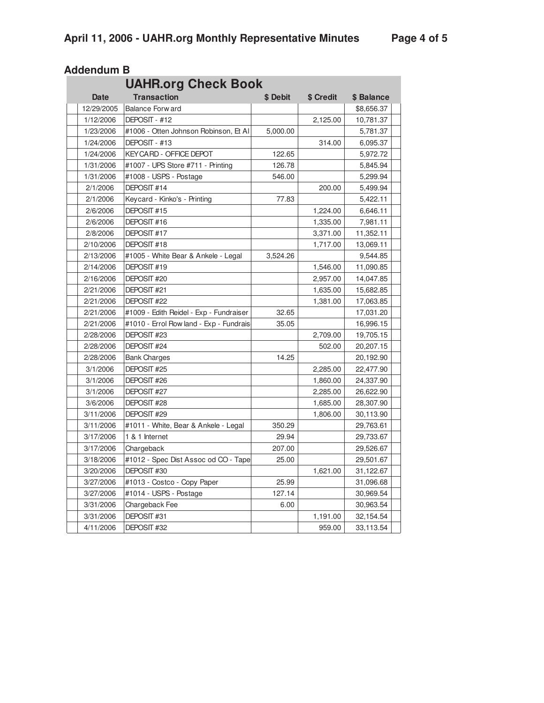| <b>UAHR.org Check Book</b> |  |                                         |          |           |            |  |
|----------------------------|--|-----------------------------------------|----------|-----------|------------|--|
| <b>Date</b>                |  | <b>Transaction</b>                      | \$ Debit | \$ Credit | \$ Balance |  |
| 12/29/2005                 |  | <b>Balance Forw ard</b>                 |          |           | \$8,656.37 |  |
| 1/12/2006                  |  | DEPOSIT - #12                           |          | 2,125.00  | 10,781.37  |  |
| 1/23/2006                  |  | #1006 - Otten Johnson Robinson, Et Al   | 5,000.00 |           | 5,781.37   |  |
| 1/24/2006                  |  | DEPOSIT - #13                           |          | 314.00    | 6,095.37   |  |
| 1/24/2006                  |  | <b>KEY CARD - OFFICE DEPOT</b>          | 122.65   |           | 5,972.72   |  |
| 1/31/2006                  |  | #1007 - UPS Store #711 - Printing       | 126.78   |           | 5,845.94   |  |
| 1/31/2006                  |  | #1008 - USPS - Postage                  | 546.00   |           | 5,299.94   |  |
| 2/1/2006                   |  | DEPOSIT #14                             |          | 200.00    | 5,499.94   |  |
| 2/1/2006                   |  | Keycard - Kinko's - Printing            | 77.83    |           | 5,422.11   |  |
| 2/6/2006                   |  | DEPOSIT #15                             |          | 1,224.00  | 6,646.11   |  |
| 2/6/2006                   |  | DEPOSIT #16                             |          | 1,335.00  | 7,981.11   |  |
| 2/8/2006                   |  | DEPOSIT #17                             |          | 3,371.00  | 11,352.11  |  |
| 2/10/2006                  |  | DEPOSIT #18                             |          | 1,717.00  | 13,069.11  |  |
| 2/13/2006                  |  | #1005 - White Bear & Ankele - Legal     | 3,524.26 |           | 9,544.85   |  |
| 2/14/2006                  |  | DEPOSIT #19                             |          | 1,546.00  | 11,090.85  |  |
| 2/16/2006                  |  | DEPOSIT #20                             |          | 2,957.00  | 14,047.85  |  |
| 2/21/2006                  |  | DEPOSIT #21                             |          | 1,635.00  | 15,682.85  |  |
| 2/21/2006                  |  | DEPOSIT #22                             |          | 1,381.00  | 17,063.85  |  |
| 2/21/2006                  |  | #1009 - Edith Reidel - Exp - Fundraiser | 32.65    |           | 17,031.20  |  |
| 2/21/2006                  |  | #1010 - Errol Row land - Exp - Fundrais | 35.05    |           | 16,996.15  |  |
| 2/28/2006                  |  | DEPOSIT #23                             |          | 2,709.00  | 19,705.15  |  |
| 2/28/2006                  |  | DEPOSIT #24                             |          | 502.00    | 20,207.15  |  |
| 2/28/2006                  |  | <b>Bank Charges</b>                     | 14.25    |           | 20,192.90  |  |
| 3/1/2006                   |  | DEPOSIT #25                             |          | 2,285.00  | 22,477.90  |  |
| 3/1/2006                   |  | DEPOSIT #26                             |          | 1,860.00  | 24,337.90  |  |
| 3/1/2006                   |  | DEPOSIT #27                             |          | 2,285.00  | 26,622.90  |  |
| 3/6/2006                   |  | DEPOSIT #28                             |          | 1,685.00  | 28,307.90  |  |
| 3/11/2006                  |  | DEPOSIT #29                             |          | 1,806.00  | 30,113.90  |  |
| 3/11/2006                  |  | #1011 - White, Bear & Ankele - Legal    | 350.29   |           | 29,763.61  |  |
| 3/17/2006                  |  | 1 & 1 Internet                          | 29.94    |           | 29,733.67  |  |
| 3/17/2006                  |  | Chargeback                              | 207.00   |           | 29,526.67  |  |
| 3/18/2006                  |  | #1012 - Spec Dist Assoc od CO - Tape    | 25.00    |           | 29,501.67  |  |
| 3/20/2006                  |  | DEPOSIT #30                             |          | 1,621.00  | 31,122.67  |  |
| 3/27/2006                  |  | #1013 - Costco - Copy Paper             | 25.99    |           | 31,096.68  |  |
| 3/27/2006                  |  | #1014 - USPS - Postage                  | 127.14   |           | 30,969.54  |  |
| 3/31/2006                  |  | Chargeback Fee                          | 6.00     |           | 30,963.54  |  |
| 3/31/2006                  |  | DEPOSIT #31                             |          | 1,191.00  | 32,154.54  |  |
| 4/11/2006                  |  | DEPOSIT #32                             |          | 959.00    | 33,113.54  |  |

## **Addendum B**